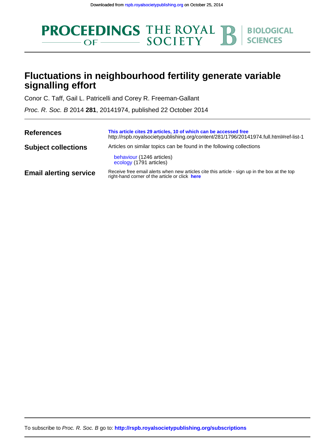

# **signalling effort Fluctuations in neighbourhood fertility generate variable**

Conor C. Taff, Gail L. Patricelli and Corey R. Freeman-Gallant

Proc. R. Soc. B 2014 **281**, 20141974, published 22 October 2014

| <b>References</b>             | This article cites 29 articles, 10 of which can be accessed free<br>http://rspb.royalsocietypublishing.org/content/281/1796/20141974.full.html#ref-list-1 |  |
|-------------------------------|-----------------------------------------------------------------------------------------------------------------------------------------------------------|--|
| <b>Subject collections</b>    | Articles on similar topics can be found in the following collections                                                                                      |  |
|                               | behaviour (1246 articles)<br>ecology (1791 articles)                                                                                                      |  |
| <b>Email alerting service</b> | Receive free email alerts when new articles cite this article - sign up in the box at the top<br>right-hand corner of the article or click here           |  |

To subscribe to Proc. R. Soc. B go to: **<http://rspb.royalsocietypublishing.org/subscriptions>**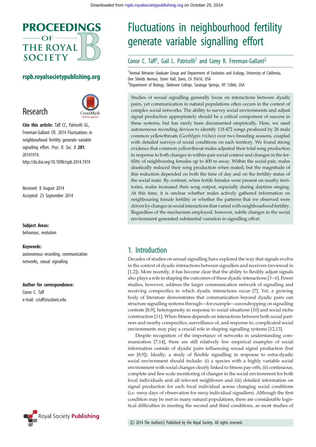

### rspb.royalsocietypublishing.org

Research



Cite this article: Taff CC, Patricelli GL, Freeman-Gallant CR. 2014 Fluctuations in neighbourhood fertility generate variable signalling effort. Proc. R. Soc. B 281: 20141974. http://dx.doi.org/10.1098/rspb.2014.1974

Received: 8 August 2014 Accepted: 23 September 2014

Subject Areas:

behaviour, evolution

#### Keywords:

autonomous recording, communication networks, sexual signalling

#### Author for correspondence:

Conor C. Taff e-mail: [cctaff@ucdavis.edu](mailto:cctaff@ucdavis.edu)



# Conor C. Taff<sup>1</sup>, Gail L. Patricelli<sup>1</sup> and Corey R. Freeman-Gallant<sup>2</sup>

<sup>1</sup> Animal Behavior Graduate Group and Department of Evolution and Ecology, University of California, One Shields Avenue, Storer Hall, Davis, CA 95616, USA <sup>2</sup>Department of Biology, Skidmore College, Saratoga Springs, NY 12866, USA

Studies of sexual signalling generally focus on interactions between dyadic pairs, yet communication in natural populations often occurs in the context of complex social networks. The ability to survey social environments and adjust signal production appropriately should be a critical component of success in these systems, but has rarely been documented empirically. Here, we used autonomous recording devices to identify 118 472 songs produced by 26 male common yellowthroats (Geothlypis trichas) over two breeding seasons, coupled with detailed surveys of social conditions on each territory. We found strong evidence that common yellowthroat males adjusted their total song production in response to both changes in within-pair social context and changes in the fertility of neighbouring females up to 400 m away. Within the social pair, males drastically reduced their song production when mated, but the magnitude of this reduction depended on both the time of day and on the fertility status of the social mate. By contrast, when fertile females were present on nearby territories, males increased their song output, especially during daytime singing. At this time, it is unclear whether males actively gathered information on neighbouring female fertility or whether the patterns that we observed were driven by changes in social interactions that varied with neighbourhood fertility. Regardless of the mechanism employed, however, subtle changes in the social environment generated substantial variation in signalling effort.

# 1. Introduction

Decades of studies on sexual signalling have explored the way that signals evolve in the context of dyadic interactions between signallers and receivers (reviewed in [[1,2\]](#page-8-0)). More recently, it has become clear that the ability to flexibly adjust signals also plays a role in shaping the outcomes of these dyadic interactions [\[3](#page-8-0)–[6](#page-8-0)]. Fewer studies, however, address the larger communication network of signalling and receiving conspecifics in which dyadic interactions occur [[7](#page-8-0)]. Yet, a growing body of literature demonstrates that communication beyond dyadic pairs can structure signalling systems through—for example—eavesdropping on signalling contests [\[8,9](#page-8-0)], heterogeneity in response to social situations [[10\]](#page-8-0) and social niche construction [[11\]](#page-8-0). When fitness depends on interactions between both social partners and nearby conspecifics, surveillance of, and response to, complicated social environments may play a crucial role in shaping signalling systems [\[12,13](#page-8-0)].

Despite recognition of the importance of networks in understanding communication [[7,14](#page-8-0)], there are still relatively few empirical examples of social information outside of dyadic pairs influencing sexual signal production (but see [[8,9\]](#page-8-0)). Ideally, a study of flexible signalling in response to extra-dyadic social environment should include: (i) a species with a highly variable social environment with social changes clearly linked to fitness pay-offs, (ii) continuous, complete and fine scale monitoring of changes in the social environment for both focal individuals and all relevant neighbours and (iii) detailed information on signal production for each focal individual across changing social conditions (i.e. many days of observation for many individual signallers). Although the first condition may be met in many natural populations, there are considerable logistical difficulties in meeting the second and third conditions, as most studies of

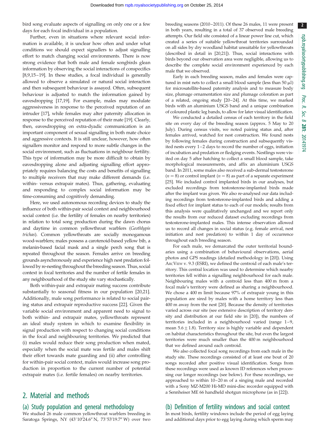$\overline{\phantom{a}}$  2

bird song evaluate aspects of signalling on only one or a few days for each focal individual in a population.

Further, even in situations where relevant social information is available, it is unclear how often and under what conditions we should expect signallers to adjust signalling effort to match changing social environments. There is now strong evidence that both male and female songbirds glean information by observing the social interactions of conspecifics [\[8,9,15](#page-8-0)–[19](#page-8-0)]. In these studies, a focal individual is generally allowed to observe a simulated or natural social interaction and then subsequent behaviour is assayed. Often, subsequent behaviour is adjusted to match the information gained by eavesdropping [\[17,19\]](#page-8-0). For example, males may modulate aggressiveness in response to the perceived reputation of an intruder [[17](#page-8-0)], while females may alter paternity allocation in response to the perceived reputation of their mate [[19](#page-8-0)]. Clearly, then, eavesdropping on extra-dyadic communication is an important component of sexual signalling in both mate choice and aggressive contexts. It is still unclear, however, how often signallers monitor and respond to more subtle changes in the social environment, such as fluctuations in neighbour fertility. This type of information may be more difficult to obtain by eavesdropping alone and adjusting signalling effort appropriately requires balancing the costs and benefits of signalling to multiple receivers that may make different demands (i.e. within- versus extrapair mates). Thus, gathering, evaluating and responding to complex social information may be time-consuming and cognitively demanding.

Here, we used autonomous recording devices to study the influence of both within-pair social context and neighbourhood social context (i.e. the fertility of females on nearby territories) in relation to total song production during the dawn chorus and daytime in common yellowthroat warblers (Geothlypis trichas). Common yellowthroats are socially monogamous wood-warblers; males possess a carotenoid-based yellow bib, a melanin-based facial mask and a single perch song that is repeated throughout the season. Females arrive on breeding grounds asynchronously and experience high nest predation followed by re-nesting throughout the breeding season. Thus, social context in focal territories and the number of fertile females in any neighbourhood of the study site vary stochastically.

Both within-pair and extrapair mating success contribute substantially to seasonal fitness in our population [\[20,21](#page-8-0)]. Additionally, male song performance is related to social pairing status and extrapair reproductive success [[22\]](#page-8-0). Given the variable social environment and apparent need to signal to both within- and extrapair mates, yellowthroats represent an ideal study system in which to examine flexibility in signal production with respect to changing social conditions in the focal and neighbouring territories. We predicted that (i) males would reduce their song production when mated, especially when the social mate was fertile and males shift their effort towards mate guarding and (ii) after controlling for within-pair social context, males would increase song production in proportion to the current number of potential extrapair mates (i.e. fertile females) on nearby territories.

# 2. Material and methods

#### (a) Study population and general methodology

We studied 26 male common yellowthroat warblers breeding in Saratoga Springs, NY (43°10'24.6" N, 73°53'19.7" W) over two

breeding seasons (2010–2011). Of these 26 males, 11 were present in both years, resulting in a total of 37 observed male breeding attempts. Our field site consisted of a linear power line cut, which created a series of suitable yellowthroat territories surrounded on all sides by dry woodland habitat unsuitable for yellowthroats (described in detail in [\[20,21\]](#page-8-0)). Thus, social interactions with birds beyond our observation area were negligible, allowing us to describe the complete social environment experienced by each male that we observed.

Early in each breeding season, males and females were captured in mist nets to collect a small blood sample (less than  $50 \mu$ l) for microsatellite-based paternity analysis and to measure body size, plumage ornamentation size and plumage coloration as part of a related, ongoing study [[20](#page-8-0)–[24](#page-8-0)]. At this time, we marked birds with an aluminium USGS band and a unique combination of coloured plastic leg bands, to allow for later visual identification.

We conducted a detailed census of each territory in the field site on every day of the breeding season (approx. 5 May to 20 July). During census visits, we noted pairing status and, after females arrived, watched for nest construction. We found nests by following females during construction and subsequently visited nests every 1–2 days to record the number of eggs, initiation of incubation and predation or fledging events. Nestlings were visited on day 5 after hatching to collect a small blood sample, take morphological measurements, and affix an aluminium USGS band. In 2011, some males also received a sub-dermal testosterone  $(n = 8)$  or control implant  $(n = 8)$  as part of a separate experiment [[25](#page-8-0)]. We included control implanted birds in our analyses, but excluded recordings from testosterone-implanted birds made after the implant was given. We also re-analysed our data including recordings from testosterone-implanted birds and adding a fixed effect for implant status to each of our models; results from this analysis were qualitatively unchanged and we report only the results from our reduced dataset excluding recordings from testosterone-implanted males. This intense observation allowed us to record all changes in social status (e.g. female arrival, nest initiation and nest predation) to within 1 day of occurrence throughout each breeding season.

For each male, we demarcated the outer territorial boundaries using a combination of behavioural observations, aerial photos and GPS readings (detailed methodology in [[20](#page-8-0)]). Using ARCVIEW v. 9.3 (ESRI), we defined the centroid of each male's territory. This central location was used to determine which nearby territories fell within a signalling neighbourhood for each male. Neighbouring males with a centroid less than 400 m from a focal male's territory were defined as sharing a neighbourhood. We chose a 400 m limit because 97% of extrapair young in this population are sired by males with a home territory less than 400 m away from the nest [\[20\]](#page-8-0). Because the density of territories varied across our site (see extensive description of territory density and distribution at our field site in [\[20\]](#page-8-0)), the numbers of territories included in a neighbourhood varied (range 1-9, mean  $5.6 \pm 1.8$ ). Territory size is highly variable and dependent on habitat characteristics throughout the site, but even the largest territories were much smaller than the 400 m neighbourhood that we defined around each centroid.

We also collected focal song recordings from each male in the study site. These recordings consisted of at least one bout of 20 songs recorded after positive visual identification. Songs from these recordings were used as known ID references when processing our longer recordings (see below). For these recordings, we approached to within 10–20 m of a singing male and recorded with a Sony MZ-M200 Hi-MD mini-disc recorder equipped with a Sennheiser ME 66 handheld shotgun microphone (as in [\[22\]](#page-8-0)).

# (b) Definition of fertility windows and social context

In most birds, fertility windows include the period of egg laying and additional days prior to egg laying during which sperm may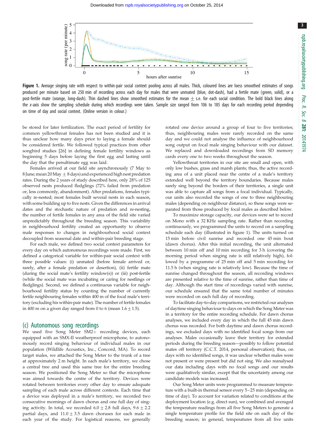<span id="page-3-0"></span>

Figure 1. Average singing rate with respect to within-pair social context pooling across all males. Thick, coloured lines are loess smoothed estimates of songs produced per minute based on 250 min of recording across each day for males that were unmated (blue, dot-dash), had a fertile mate (green, solid), or a post-fertile mate (orange, long-dash). Thin dashed lines show smoothed estimates for the mean  $+$  s.e. for each social condition. The bold black lines along the x-axis show the sampling schedule during which recordings were taken. Sample size ranged from 106 to 185 days for each recording period depending on time of day and social context. (Online version in colour.)

be stored for later fertilization. The exact period of fertility for common yellowthroat females has not been studied and it is thus unclear how many days prior to laying a female should be considered fertile. We followed typical practices from other songbird studies [\[26\]](#page-8-0) in defining female fertility windows as beginning 5 days before laying the first egg and lasting until the day that the penultimate egg was laid.

Females arrived at our field site asynchronously (7 May to 8 June; mean 20 May  $\pm 8$  days) and experienced high nest predation rates. During the 2 years of study described here, only 28% of 125 observed nests produced fledglings (72% failed from predation or, less commonly, abandonment). After predations, females typically re-nested; most females built several nests in each season, with some building up to five nests. Given the differences in arrival dates and the stochastic nature of predation and re-nesting, the number of fertile females in any area of the field site varied unpredictably throughout the breeding season. This variability in neighbourhood fertility created an opportunity to observe male responses to changes in neighbourhood social context decoupled from seasonal date and within-pair breeding stage.

For each male, we defined two social context parameters for every day on which autonomous recordings were made. First, we defined a categorical variable for within-pair social context with three possible values: (i) unmated (before female arrived or, rarely, after a female predation or desertion), (ii) fertile mate (during the social mate's fertility window(s)) or (iii) post-fertile (while the social mate was incubating or caring for nestlings or fledglings). Second, we defined a continuous variable for neighbourhood fertility status by counting the number of currently fertile neighbouring females within 400 m of the focal male's territory (excluding his within-pair mate). The number of fertile females in 400 m on a given day ranged from 0 to 6 (mean  $1.6 \pm 1.5$ ).

#### (c) Autonomous song recordings

We used five Song Meter SM2+ recording devices, each equipped with an SMX-II weatherproof microphone, to autonomously record singing behaviour of individual males in our population (Wildlife Acoustics, Inc., Concord, MA). To record target males, we attached the Song Meter to the trunk of a tree at approximately 2 m height. In each male's territory, we chose a central tree and used this same tree for the entire breeding season. We positioned the Song Meter so that the microphone was aimed towards the centre of the territory. Devices were rotated between territories every other day to ensure adequate sampling of each male across different contexts. Each time that a device was deployed in a male's territory, we recorded two consecutive mornings of dawn chorus and one full day of singing activity. In total, we recorded  $6.0 \pm 2.8$  full days,  $9.6 \pm 2.2$ partial days, and  $11.0 \pm 3.5$  dawn choruses for each male in each year of the study. For logistical reasons, we generally

rotated one device around a group of four to five territories; thus, neighbouring males were rarely recorded on the same day and we could not analyse the influence of neighbourhood song output on focal male singing behaviour with our dataset. We replaced and downloaded recordings from SD memory cards every one to two weeks throughout the season.

Yellowthroat territories in our site are small and open, with only low bushes, grass and marsh plants; thus, the active recording area of a unit placed near the centre of a male's territory extended well beyond the territory boundaries. Because males rarely sing beyond the borders of their territories, a single unit was able to capture all songs from a focal individual. Typically, our units also recorded the songs of one to three neighbouring males (depending on neighbour distance), so these songs were separated from those produced by focal males as described below.

To maximize storage capacity, our devices were set to record on Mono with a 32 KHz sampling rate. Rather than recording continuously, we programmed the units to record on a sampling schedule each day (illustrated in figure 1). The units turned on 15 min before civil sunrise and recorded one 45 min bout (dawn chorus). After this initial recording, the unit alternated between 10 min off and 10 min recording for 3 h (covering the morning period when singing rate is still relatively high), followed by a programme of 25 min off and 5 min recording for 11.5 h (when singing rate is relatively low). Because the time of sunrise changed throughout the season, all recording windows are presented relative to the time of sunrise, rather than time of day. Although the start time of recordings varied with sunrise, our schedule ensured that the same total number of minutes were recorded on each full day of recording.

To facilitate day-to-day comparisons, we restricted our analyses of daytime singing behaviour to days on which the Song Meter was in a territory for the entire recording schedule. For dawn chorus analyses, we included every day in which the full 45 min dawn chorus was recorded. For both daytime and dawn chorus recordings, we excluded days with no identified focal songs from our analyses. Males occasionally leave their territory for extended periods during the breeding season—possibly to follow potential mates off territory (C.C.T. 2014, personal observation); thus, on days with no identified songs, it was unclear whether males were not present or were present but did not sing. We also reanalysed our data including days with no focal songs and our results were qualitatively similar, except that the uncertainty among our candidate models was increased.

Our Song Meter units were programmed to measure temperature with a built-in thermal sensor every 5–25 min (depending on time of day). To account for variation related to conditions at the deployment location (e.g. direct sun), we combined and averaged the temperature readings from all five Song Meters to generate a single temperature profile for the field site on each day of the breeding season; in general, temperatures from all five units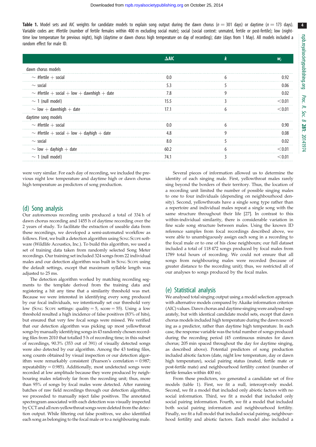<span id="page-4-0"></span>**Table 1.** Model sets and AIC weights for candidate models to explain song output during the dawn chorus ( $n = 301$  days) or daytime ( $n = 173$  days). Variable codes are: #fertile (number of fertile females within 400 m excluding social mate); social (social context: unmated, fertile or post-fertile); low (nighttime low temperature for previous night), high (daytime or dawn chorus high temperature on day of recording); date (days from 1 May). All models included a random effect for male ID.

|                                                  | $\triangle$ AIC | $W_i$ |
|--------------------------------------------------|-----------------|-------|
| dawn chorus models                               |                 |       |
| $\sim$ #fertile + social                         | 0 Q             |       |
| $\sim$ social                                    | 5.3             |       |
| $\sim$ #fertile + social + low + dawnhigh + date | 7.8             | N 02  |
| $\sim$ 1 (null model)                            | 15 5            |       |
| $\sim$ low + dawnhigh + date                     |                 |       |
| daytime song models                              |                 |       |
| $\sim$ #fertile + social                         |                 |       |
| $\sim$ #fertile + social + low + dayhigh + date  | 48              |       |
| $\sim$ social                                    | 80              | N 02  |
| $\sim$ low + dayhigh + date                      | 60.2            |       |
| $\sim$ 1 (null model)                            | 74.1            |       |
|                                                  |                 |       |

were very similar. For each day of recording, we included the previous night low temperature and daytime high or dawn chorus high temperature as predictors of song production.

### (d) Song analysis

Our autonomous recording units produced a total of 334 h of dawn chorus recording and 1455 h of daytime recording over the 2 years of study. To facilitate the extraction of useable data from these recordings, we developed a semi-automated workflow as follows. First, we built a detection algorithm using SONG SCOPE software (Wildlife Acoustics, Inc.). To build this algorithm, we used a set of training data taken from randomly selected Song Meter recordings. Our training set included 324 songs from 22 individual males and our detection algorithm was built in SONG SCOPE using the default settings, except that maximum syllable length was adjusted to 25 ms.

The detection algorithm worked by matching recording segments to the template derived from the training data and registering a hit any time that a similarity threshold was met. Because we were interested in identifying every song produced by our focal individuals, we intentionally set our threshold very low (Song Scope settings: quality  $= 5$ , score  $= 55$ ). Using a low threshold resulted a high incidence of false positives (83% of hits), but ensured that very few focal songs were missed. We verified that our detection algorithm was picking up most yellowthroat songs by manually identifying songs in 43 randomly chosen recording files from 2010 that totalled 5 h of recording time; in this subset of recordings, 90.3% (353 out of 391) of visually detected songs were also detected by our algorithm. Among the 43 testing files, song counts obtained by visual inspection or our detection algorithm were remarkably consistent (Pearson's correlation  $= 0.987$ ;  $repeated$  songs were  $(0.985)$ . Additionally, most undetected songs were recorded at low amplitude because they were produced by neighbouring males relatively far from the recording unit; thus, more than 95% of songs by focal males were detected. After running batches of raw field recordings through our detection algorithm, we proceeded to manually reject false positives. The annotated spectrogram associated with each detection was visually inspected by CCT and all non-yellowthroat songs were deleted from the detection output. While filtering out false positives, we also identified each song as belonging to the focal male or to a neighbouring male.

Several pieces of information allowed us to determine the identity of each singing male. First, yellowthroat males rarely sing beyond the borders of their territory. Thus, the location of a recording unit limited the number of possible singing males to one to four individuals (depending on neighbourhood density). Second, yellowthroats have a single song type rather than a repertoire and individual males repeat a single song with the same structure throughout their life [\[27\]](#page-8-0). In contrast to this within-individual similarity, there is considerable variation in fine scale song structure between males. Using the known ID reference samples from focal recordings described above, we were able to unambiguously assign each song in a recording to the focal male or to one of his close neighbours; our full dataset included a total of 118 472 songs produced by focal males from 1789 total hours of recording. We could not ensure that all songs from neighbouring males were recorded (because of greater distance to the recording unit); thus, we restricted all of our analyses to songs produced by the focal males.

### (e) Statistical analysis

We analysed total singing output using a model selection approach with alternative models compared by Akaike information criterion (AIC) values. Dawn chorus and daytime singing were analysed separately, but with identical candidate model sets, except that dawn chorus models included high temperature during the dawn recording as a predictor, rather than daytime high temperature. In each case, the response variable was the total number of songs produced during the recording period (45 continuous minutes for dawn chorus; 205 min spaced throughout the day for daytime singing, as described above). Potential predictors of song production included abiotic factors (date, night low temperature, day or dawn high temperature), social pairing status (mated, fertile mate or post-fertile mate) and neighbourhood fertility context (number of fertile females within 400 m).

From these predictors, we generated a candidate set of five models (table 1). First, we fit a null, intercept-only model. Second, we fit a model that included only abiotic factors with no social information. Third, we fit a model that included only social pairing information. Fourth, we fit a model that included both social pairing information and neighbourhood fertility. Finally, we fit a full model that included social pairing, neighbourhood fertility and abiotic factors. Each model also included a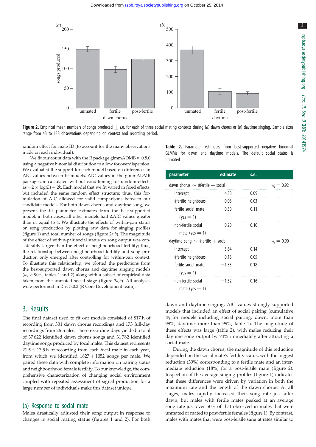<span id="page-5-0"></span>

Figure 2. Empirical mean numbers of songs produced  $\pm$  s.e. for each of three social mating contexts during (a) dawn chorus or (b) daytime singing. Sample sizes range from 43 to 138 observations depending on context and recording period.

random effect for male ID (to account for the many observations made on each individual).

We fit our count data with the R package glmmADMB v. 0.8.0 using a negative binomial distribution to allow for overdispersion. We evaluated the support for each model based on differences in AIC values between fit models. AIC values in the glmmADMB package are calculated without conditioning for random effects as  $-2 \times \log(L) + 2k$ . Each model that we fit varied in fixed effects, but included the same random effect structure; thus, this formulation of AIC allowed for valid comparisons between our candidate models. For both dawn chorus and daytime song, we present the fit parameter estimates from the best-supported model; in both cases, all other models had  $\Delta AIC$  values greater than or equal to 4. We illustrate the effects of within-pair status on song production by plotting raw data for singing profiles [\(figure 1](#page-3-0)) and total number of songs (figure  $2a$ , $b$ ). The magnitude of the effect of within-pair social status on song output was considerably larger than the effect of neighbourhood fertility; thus, the relationship between neighbourhood fertility and song production only emerged after controlling for within-pair context. To illustrate this relationship, we plotted the predictions from the best-supported dawn chorus and daytime singing models  $(w_i > 90\%$ , tables [1](#page-4-0) and 2) along with a subset of empirical data taken from the unmated social stage (figure  $3a,b$ ). All analyses were performed in R v. 3.0.2 (R Core Development team).

# 3. Results

The final dataset used to fit our models consisted of 817 h of recording from 301 dawn chorus recordings and 173 full-day recordings from 26 males. These recording days yielded a total of 37 622 identified dawn chorus songs and 31 782 identified daytime songs produced by focal males. This dataset represents  $21.5 \pm 13.5$  h of recording from each focal male in each year, from which we identified  $1827 \pm 1052$  songs per male. We paired these data with complete information on pairing status and neighbourhood female fertility. To our knowledge, the comprehensive characterization of changing social environment coupled with repeated assessment of signal production for a large number of individuals make this dataset unique.

#### (a) Response to social mate

Males drastically adjusted their song output in response to changes in social mating status (figures [1](#page-3-0) and 2). For both Table 2. Parameter estimates from best-supported negative binomial GLMMs for dawn and daytime models. The default social status is unmated.

| parameter                               | estimate     | s.e. |  |
|-----------------------------------------|--------------|------|--|
| dawn chorus $\sim$ #fertile $+$ social  | $W_i = 0.92$ |      |  |
| intercept                               | 4.88         | 0.09 |  |
| #fertile neighbours                     | 0.08         | 0.03 |  |
| fertile social mate<br>$(yes = 1)$      | $-0.50$      | 0.11 |  |
| non-fertile social<br>mate (yes $= 1$ ) | $-0.20$      | 0.10 |  |
| daytime song $\sim$ #fertile $+$ social | $W_i = 0.90$ |      |  |
| intercept                               | 5.64         | 0.14 |  |
| #fertile neighbours                     | 0.16         | 0.05 |  |
| fertile social mate<br>$(yes = 1)$      | $-1.33$      | 0.18 |  |
| non-fertile social<br>mate (yes $= 1$ ) | $-1.32$      | 0.16 |  |

dawn and daytime singing, AIC values strongly supported models that included an effect of social pairing (cumulative  $w_i$  for models including social pairing: dawn: more than 99%; daytime: more than 99%, [table 1\)](#page-4-0). The magnitude of these effects was large (table 2), with males reducing their daytime song output by 74% immediately after attracting a social mate.

During the dawn chorus, the magnitude of this reduction depended on the social mate's fertility status, with the biggest reduction (39%) corresponding to a fertile mate and an intermediate reduction (18%) for a post-fertile mate (figure 2). Inspection of the average singing profiles [\(figure 1](#page-3-0)) indicates that these differences were driven by variation in both the maximum rate and the length of the dawn chorus. At all stages, males rapidly increased their song rate just after dawn, but males with fertile mates peaked at an average song rate just over 50% of that observed in males that were unmated or mated to post-fertile females [\(figure 1](#page-3-0)). By contrast, males with mates that were post-fertile sang at rates similar to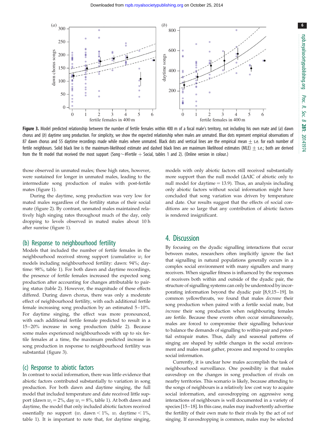<span id="page-6-0"></span>

Figure 3. Model predicted relationship between the number of fertile females within 400 m of a focal male's territory, not including his own mate and (a) dawn chorus and (b) daytime song production. For simplicity, we show the expected relationship when males are unmated. Blue dots represent empirical observations of 87 dawn chorus and 55 daytime recordings made while males where unmated. Black dots and vertical lines are the empirical mean  $\pm$  s.e. for each number of fertile neighbours. Solid black line is the maximum-likelihood estimate and dashed black lines are maximum likelihood estimates (MLE)  $\pm$  s.e.; both are derived from the fit model that received the most support (Song $\sim$ #Fertile  $+$  Social, tables [1](#page-4-0) and [2](#page-5-0)). (Online version in colour.)

those observed in unmated males; these high rates, however, were sustained for longer in unmated males, leading to the intermediate song production of males with post-fertile mates ([figure 1](#page-3-0)).

During the daytime, song production was very low for mated males regardless of the fertility status of their social mate [\(figure 2](#page-5-0)). By contrast, unmated males maintained relatively high singing rates throughout much of the day, only dropping to levels observed in mated males about 10 h after sunrise [\(figure 1\)](#page-3-0).

#### (b) Response to neighbourhood fertility

Models that included the number of fertile females in the neighbourhood received strong support (cumulative  $w_i$  for models including neighbourhood fertility: dawn: 94%; daytime: 98%, [table 1](#page-4-0)). For both dawn and daytime recordings, the presence of fertile females increased the expected song production after accounting for changes attributable to pairing status ([table 2\)](#page-5-0). However, the magnitude of these effects differed. During dawn chorus, there was only a moderate effect of neighbourhood fertility, with each additional fertile female increasing song production by an estimated 5-10%. For daytime singing, the effect was more pronounced, with each additional fertile female predicted to result in a 15– 20% increase in song production ([table 2\)](#page-5-0). Because some males experienced neighbourhoods with up to six fertile females at a time, the maximum predicted increase in song production in response to neighbourhood fertility was substantial (figure 3).

#### (c) Response to abiotic factors

In contrast to social information, there was little evidence that abiotic factors contributed substantially to variation in song production. For both dawn and daytime singing, the full model that included temperature and date received little support (dawn  $w_i = 2\%$ , day  $w_i = 8\%$ , [table 1](#page-4-0)). At both dawn and daytime, the model that only included abiotic factors received essentially no support ( $w_i$  dawn < 1%,  $w_i$  daytime < 1%, [table 1](#page-4-0)). It is important to note that, for daytime singing, models with only abiotic factors still received substantially more support than the null model  $(\Delta AIC)$  of abiotic only to null model for daytime  $= 13.9$ ). Thus, an analysis including only abiotic factors without social information might have concluded that song variation was driven by temperature and date. Our results suggest that the effects of social conditions are so large that any contribution of abiotic factors is rendered insignificant.

## 4. Discussion

By focusing on the dyadic signalling interactions that occur between mates, researchers often implicitly ignore the fact that signalling in natural populations generally occurs in a complex social environment with many signallers and many receivers. When signaller fitness is influenced by the responses of receivers both within and outside of the dyadic pair, the structure of signalling systems can only be understood by incorporating information beyond the dyadic pair [[8,9,15](#page-8-0)–[19\]](#page-8-0). In common yellowthroats, we found that males decrease their song production when paired with a fertile social mate, but increase their song production when neighbouring females are fertile. Because these events often occur simultaneously, males are forced to compromise their signalling behaviour to balance the demands of signalling to within-pair and potential extrapair mates. Thus, daily and seasonal patterns of singing are shaped by subtle changes in the social environment and males must gather, process and respond to complex social information.

Currently, it is unclear how males accomplish the task of neighbourhood surveillance. One possibility is that males eavesdrop on the changes in song production of rivals on nearby territories. This scenario is likely, because attending to the songs of neighbours is a relatively low cost way to acquire social information, and eavesdropping on aggressive song interactions of neighbours is well documented in a variety of species [[15](#page-8-0)–[18\]](#page-8-0). In this case, males may inadvertently advertise the fertility of their own mate to their rivals by the act of not singing. If eavesdropping is common, males may be selected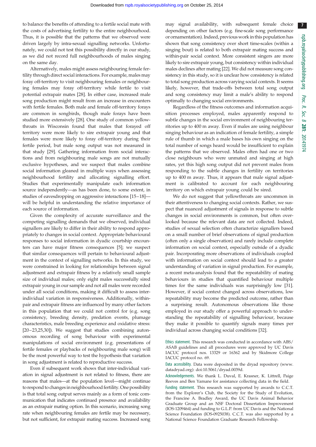to balance the benefits of attending to a fertile social mate with the costs of advertising fertility to the entire neighbourhood. Thus, it is possible that the patterns that we observed were driven largely by intra-sexual signalling networks. Unfortunately, we could not test this possibility directly in our study, as we did not record full neighbourhoods of males singing on the same day.

Alternatively, males might assess neighbouring female fertility through direct social interactions. For example, males may foray off-territory to visit neighbouring females or neighbouring females may foray off-territory while fertile to visit potential extrapair mates [[28\]](#page-8-0). In either case, increased male song production might result from an increase in encounters with fertile females. Both male and female off-territory forays are common in songbirds, though male forays have been studied more extensively [\[28](#page-8-0)]. One study of common yellowthroats in Wisconsin found that males that forayed off territory were more likely to sire extrapair young and that females were more likely to foray off-territory during their fertile period, but male song output was not measured in that study [[29\]](#page-8-0). Gathering information from social interactions and from neighbouring male songs are not mutually exclusive hypotheses, and we suspect that males combine social information gleaned in multiple ways when assessing neighbourhood fertility and allocating signalling effort. Studies that experimentally manipulate each information source independently—as has been done, to some extent, in studies of eavesdropping on aggressive interactions [[15](#page-8-0)–[18\]](#page-8-0) will be helpful in understanding the relative importance of each source of information.

Given the complexity of accurate surveillance and the competing signalling demands that we observed, individual signallers are likely to differ in their ability to respond appropriately to changes in social context. Appropriate behavioural responses to social information in dyadic courtship encounters can have major fitness consequences [\[5\]](#page-8-0); we suspect that similar consequences will pertain to behavioural adjustment in the context of signalling networks. In this study, we were constrained in looking for relationships between signal adjustment and extrapair fitness by a relatively small sample size of individual males; only eight males successfully sired extrapair young in our sample and not all males were recorded under all social conditions, making it difficult to assess interindividual variation in responsiveness. Additionally, withinpair and extrapair fitness are influenced by many other factors in this population that we could not control for (e.g. song consistency, breeding density, predation events, plumage characteristics, male breeding experience and oxidative stress: [\[20](#page-8-0)–[23](#page-8-0),[25,30\]](#page-8-0)). We suggest that studies combining autonomous recording of song behaviour with experimental manipulations of social environment (e.g. presentations of fertile females or playbacks of neighbouring male song) will be the most powerful way to test the hypothesis that variation in song adjustment is related to reproductive success.

Even if subsequent work shows that inter-individual variation in signal adjustment is not related to fitness, there are reasons that males—at the population level—might continue to respond to changes in neighbourhood fertility. One possibility is that total song output serves mainly as a form of tonic communication that indicates continued presence and availability as an extrapair mating option. In this scenario, increasing song rate when neighbouring females are fertile may be necessary, but not sufficient, for extrapair mating success. Increased song

may signal availability, with subsequent female choice depending on other factors (e.g. fine-scale song performance or ornamentation). Indeed, previous work in this population has shown that song consistency over short time-scales (within a singing bout) is related to both extrapair mating success and within-pair social context. More consistent singers are more likely to sire extrapair young, but consistency within individual males declines after mating [[22\]](#page-8-0). We did not measure song consistency in this study, so it is unclear how consistency is related to total song production across varying social contexts. It seems likely, however, that trade-offs between total song output and song consistency may limit a male's ability to respond optimally to changing social environments.

Regardless of the fitness outcomes and information acquisition processes employed, males apparently respond to subtle changes in the social environment of neighbouring territories up to 400 m away. Even if males are using neighbour singing behaviour as an indication of female fertility, a simple rule of thumb in which a male bases his own singing on the total number of songs heard would be insufficient to explain the patterns that we observed. Males often had one or two close neighbours who were unmated and singing at high rates, yet this high song output did not prevent males from responding to the subtle changes in fertility on territories up to 400 m away. Thus, it appears that male signal adjustment is calibrated to account for each neighbouring territory on which extrapair young could be sired.

We do not suggest that yellowthroats are uncommon in their attentiveness to changing social contexts. Rather, we suspect that nuanced adjustment of signals in response to subtle changes in social environments is common, but often overlooked because the relevant data are not collected. Indeed, studies of sexual selection often characterize signallers based on a small number of brief observations of signal production (often only a single observation) and rarely include complete information on social context, especially outside of a dyadic pair. Incorporating more observations of individuals coupled with information on social context should lead to a greater understanding of variation in signal production. For example, a recent meta-analysis found that the repeatability of mating behaviours in studies that quantified behaviour multiple times for the same individuals was surprisingly low [[31\]](#page-8-0). However, if social context changed across observations, low repeatability may become the predicted outcome, rather than a surprising result. Autonomous observations like those employed in our study offer a powerful approach to understanding the repeatability of signalling behaviour, because they make it possible to quantify signals many times per individual across changing social conditions [\[32\]](#page-8-0).

Ethics statement. This research was conducted in accordance with ABS/ ASAB guidelines and all procedures were approved by UC Davis IACUC protocol nos. 13329 or 16362 and by Skidmore College IACUC protocol no. 69.

Data accessibility. Data were deposited in the dryad repository ([www.](http://www.datadryad.org) [datadryad.org\)](http://www.datadryad.org): [doi:10.5061/dryad.0039d.](http://dx.doi.org/10.5061/dryad.0039d)

Acknowledgements. We thank L. Duval, E. Krasner, K. Littrell, Paige Reeves and Ben Yamane for assistance collecting data in the field.

Funding statement. This research was supported by awards to C.C.T. from the Explorer's Club, the Society for the Study of Evolution, the Francine A. Bradley Award, the UC Davis Animal Behavior Graduate Group and an NSF Doctoral Dissertation Improvement (IOS-1209464) and funding to G.L.P. from UC Davis and the National Science Foundation (IOS-0925038). C.C.T. was also supported by a National Science Foundation Graduate Research Fellowship.